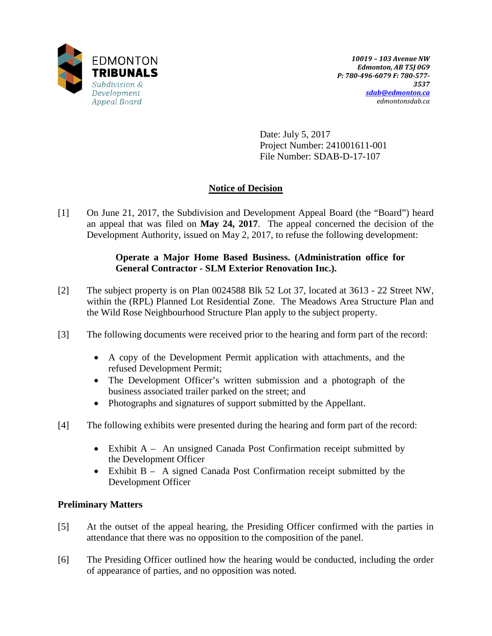

Date: July 5, 2017 Project Number: 241001611-001 File Number: SDAB-D-17-107

# **Notice of Decision**

[1] On June 21, 2017, the Subdivision and Development Appeal Board (the "Board") heard an appeal that was filed on **May 24, 2017**. The appeal concerned the decision of the Development Authority, issued on May 2, 2017, to refuse the following development:

## **Operate a Major Home Based Business. (Administration office for General Contractor - SLM Exterior Renovation Inc.).**

- [2] The subject property is on Plan 0024588 Blk 52 Lot 37, located at 3613 22 Street NW, within the (RPL) Planned Lot Residential Zone. The Meadows Area Structure Plan and the Wild Rose Neighbourhood Structure Plan apply to the subject property.
- [3] The following documents were received prior to the hearing and form part of the record:
	- A copy of the Development Permit application with attachments, and the refused Development Permit;
	- The Development Officer's written submission and a photograph of the business associated trailer parked on the street; and
	- Photographs and signatures of support submitted by the Appellant.
- [4] The following exhibits were presented during the hearing and form part of the record:
	- Exhibit A An unsigned Canada Post Confirmation receipt submitted by the Development Officer
	- Exhibit B A signed Canada Post Confirmation receipt submitted by the Development Officer

## **Preliminary Matters**

- [5] At the outset of the appeal hearing, the Presiding Officer confirmed with the parties in attendance that there was no opposition to the composition of the panel.
- [6] The Presiding Officer outlined how the hearing would be conducted, including the order of appearance of parties, and no opposition was noted.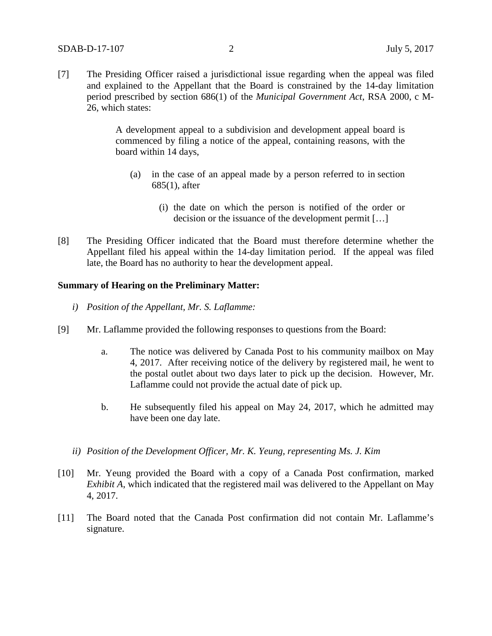[7] The Presiding Officer raised a jurisdictional issue regarding when the appeal was filed and explained to the Appellant that the Board is constrained by the 14-day limitation period prescribed by section 686(1) of the *Municipal Government Act*, RSA 2000, c M-26, which states:

> A development appeal to a subdivision and development appeal board is commenced by filing a notice of the appeal, containing reasons, with the board within 14 days,

- (a) in the case of an appeal made by a person referred to in section 685(1), after
	- (i) the date on which the person is notified of the order or decision or the issuance of the development permit […]
- [8] The Presiding Officer indicated that the Board must therefore determine whether the Appellant filed his appeal within the 14-day limitation period. If the appeal was filed late, the Board has no authority to hear the development appeal.

#### **Summary of Hearing on the Preliminary Matter:**

- *i) Position of the Appellant, Mr. S. Laflamme:*
- [9] Mr. Laflamme provided the following responses to questions from the Board:
	- a. The notice was delivered by Canada Post to his community mailbox on May 4, 2017. After receiving notice of the delivery by registered mail, he went to the postal outlet about two days later to pick up the decision. However, Mr. Laflamme could not provide the actual date of pick up.
	- b. He subsequently filed his appeal on May 24, 2017, which he admitted may have been one day late.
	- *ii) Position of the Development Officer, Mr. K. Yeung, representing Ms. J. Kim*
- [10] Mr. Yeung provided the Board with a copy of a Canada Post confirmation, marked *Exhibit A*, which indicated that the registered mail was delivered to the Appellant on May 4, 2017.
- [11] The Board noted that the Canada Post confirmation did not contain Mr. Laflamme's signature.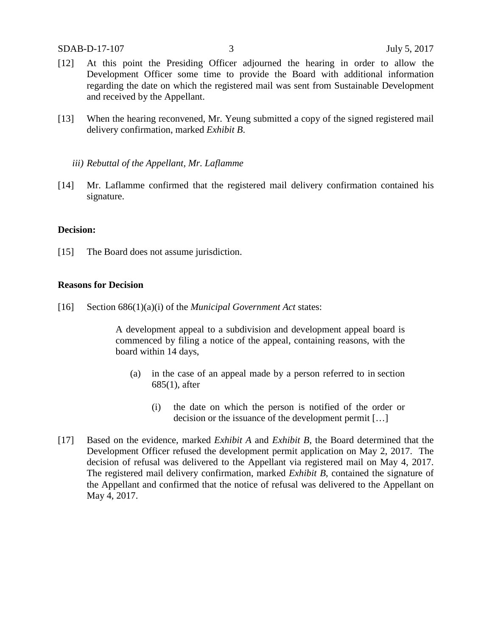- [12] At this point the Presiding Officer adjourned the hearing in order to allow the Development Officer some time to provide the Board with additional information regarding the date on which the registered mail was sent from Sustainable Development and received by the Appellant.
- [13] When the hearing reconvened, Mr. Yeung submitted a copy of the signed registered mail delivery confirmation, marked *Exhibit B*.
	- *iii) Rebuttal of the Appellant, Mr. Laflamme*
- [14] Mr. Laflamme confirmed that the registered mail delivery confirmation contained his signature.

### **Decision:**

[15] The Board does not assume jurisdiction.

### **Reasons for Decision**

[16] Section 686(1)(a)(i) of the *Municipal Government Act* states:

A development appeal to a subdivision and development appeal board is commenced by filing a notice of the appeal, containing reasons, with the board within 14 days,

- (a) in the case of an appeal made by a person referred to in section 685(1), after
	- (i) the date on which the person is notified of the order or decision or the issuance of the development permit […]
- [17] Based on the evidence, marked *Exhibit A* and *Exhibit B*, the Board determined that the Development Officer refused the development permit application on May 2, 2017. The decision of refusal was delivered to the Appellant via registered mail on May 4, 2017. The registered mail delivery confirmation, marked *Exhibit B*, contained the signature of the Appellant and confirmed that the notice of refusal was delivered to the Appellant on May 4, 2017.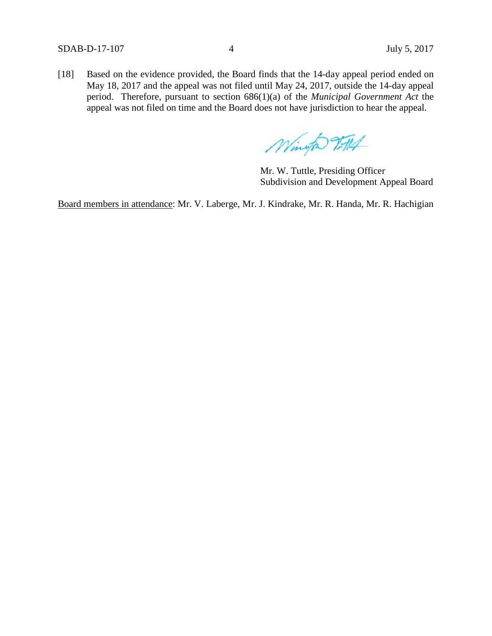SDAB-D-17-107 4 July 5, 2017

[18] Based on the evidence provided, the Board finds that the 14-day appeal period ended on May 18, 2017 and the appeal was not filed until May 24, 2017, outside the 14-day appeal period. Therefore, pursuant to section 686(1)(a) of the *Municipal Government Act* the appeal was not filed on time and the Board does not have jurisdiction to hear the appeal.

Wingto 9-114

Mr. W. Tuttle, Presiding Officer Subdivision and Development Appeal Board

Board members in attendance: Mr. V. Laberge, Mr. J. Kindrake, Mr. R. Handa, Mr. R. Hachigian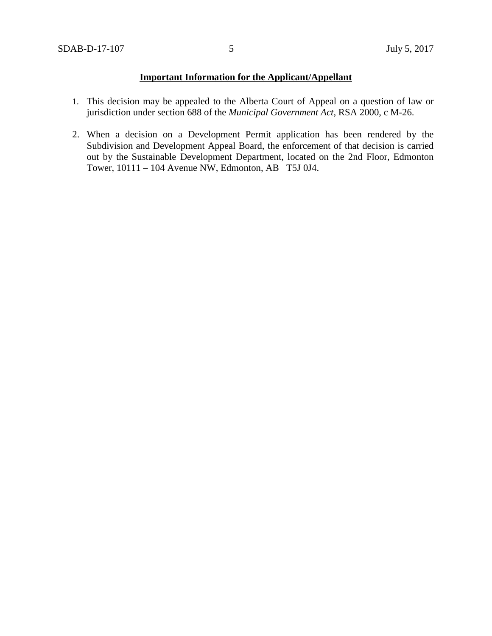## **Important Information for the Applicant/Appellant**

- 1. This decision may be appealed to the Alberta Court of Appeal on a question of law or jurisdiction under section 688 of the *Municipal Government Act*, RSA 2000, c M-26.
- 2. When a decision on a Development Permit application has been rendered by the Subdivision and Development Appeal Board, the enforcement of that decision is carried out by the Sustainable Development Department, located on the 2nd Floor, Edmonton Tower, 10111 – 104 Avenue NW, Edmonton, AB T5J 0J4.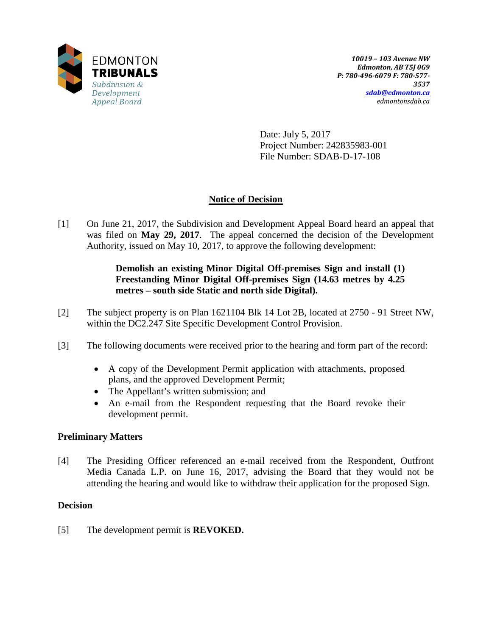

Date: July 5, 2017 Project Number: 242835983-001 File Number: SDAB-D-17-108

# **Notice of Decision**

[1] On June 21, 2017, the Subdivision and Development Appeal Board heard an appeal that was filed on **May 29, 2017**. The appeal concerned the decision of the Development Authority, issued on May 10, 2017, to approve the following development:

## **Demolish an existing Minor Digital Off-premises Sign and install (1) Freestanding Minor Digital Off-premises Sign (14.63 metres by 4.25 metres – south side Static and north side Digital).**

- [2] The subject property is on Plan 1621104 Blk 14 Lot 2B, located at 2750 91 Street NW, within the DC2.247 Site Specific Development Control Provision.
- [3] The following documents were received prior to the hearing and form part of the record:
	- A copy of the Development Permit application with attachments, proposed plans, and the approved Development Permit;
	- The Appellant's written submission; and
	- An e-mail from the Respondent requesting that the Board revoke their development permit.

### **Preliminary Matters**

[4] The Presiding Officer referenced an e-mail received from the Respondent, Outfront Media Canada L.P. on June 16, 2017, advising the Board that they would not be attending the hearing and would like to withdraw their application for the proposed Sign.

### **Decision**

[5] The development permit is **REVOKED.**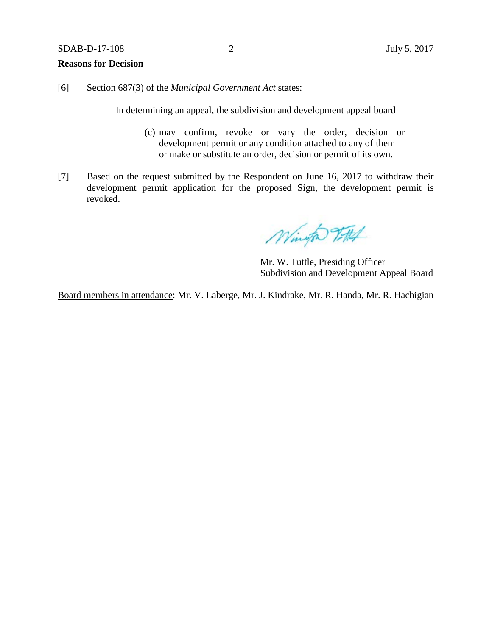### SDAB-D-17-108 2 July 5, 2017

### **Reasons for Decision**

[6] Section 687(3) of the *Municipal Government Act* states:

In determining an appeal, the subdivision and development appeal board

- (c) may confirm, revoke or vary the order, decision or development permit or any condition attached to any of them or make or substitute an order, decision or permit of its own.
- [7] Based on the request submitted by the Respondent on June 16, 2017 to withdraw their development permit application for the proposed Sign, the development permit is revoked.

Wingto TAL

Mr. W. Tuttle, Presiding Officer Subdivision and Development Appeal Board

Board members in attendance: Mr. V. Laberge, Mr. J. Kindrake, Mr. R. Handa, Mr. R. Hachigian